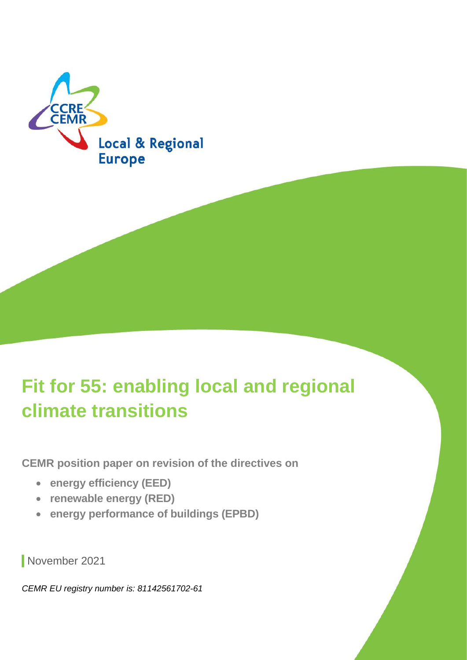

# **Fit for 55: enabling local and regional climate transitions**

**CEMR position paper on revision of the directives on**

- **energy efficiency (EED)**
- **renewable energy (RED)**
- **energy performance of buildings (EPBD)**

November 2021

*CEMR EU registry number is: 81142561702-61*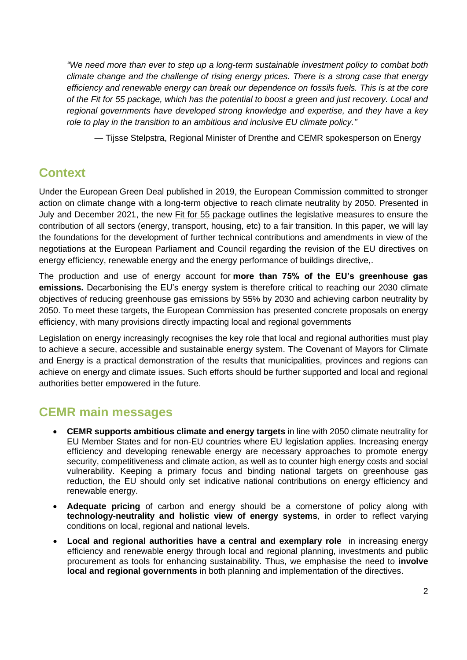*"We need more than ever to step up a long-term sustainable investment policy to combat both climate change and the challenge of rising energy prices. There is a strong case that energy efficiency and renewable energy can break our dependence on fossils fuels. This is at the core of the Fit for 55 package, which has the potential to boost a green and just recovery. Local and regional governments have developed strong knowledge and expertise, and they have a key role to play in the transition to an ambitious and inclusive EU climate policy."*

— Tijsse Stelpstra, Regional Minister of Drenthe and CEMR spokesperson on Energy

## **Context**

Under the [European Green Deal](https://ec.europa.eu/info/strategy/priorities-2019-2024/european-green-deal_en) published in 2019, the European Commission committed to stronger action on climate change with a long-term objective to reach climate neutrality by 2050. Presented in July and December 2021, the new [Fit for 55 package](https://ec.europa.eu/info/strategy/priorities-2019-2024/european-green-deal/delivering-european-green-deal_en) outlines the legislative measures to ensure the contribution of all sectors (energy, transport, housing, etc) to a fair transition. In this paper, we will lay the foundations for the development of further technical contributions and amendments in view of the negotiations at the European Parliament and Council regarding the revision of the EU directives on energy efficiency, renewable energy and the energy performance of buildings directive,.

The production and use of energy account for **more than 75% of the EU's greenhouse gas emissions.** Decarbonising the EU's energy system is therefore critical to reaching our 2030 climate objectives of reducing greenhouse gas emissions by 55% by 2030 and achieving carbon neutrality by 2050. To meet these targets, the European Commission has presented concrete proposals on energy efficiency, with many provisions directly impacting local and regional governments

Legislation on energy increasingly recognises the key role that local and regional authorities must play to achieve a secure, accessible and sustainable energy system. The Covenant of Mayors for Climate and Energy is a practical demonstration of the results that municipalities, provinces and regions can achieve on energy and climate issues. Such efforts should be further supported and local and regional authorities better empowered in the future.

### **CEMR main messages**

- **CEMR supports ambitious climate and energy targets** in line with 2050 climate neutrality for EU Member States and for non-EU countries where EU legislation applies. Increasing energy efficiency and developing renewable energy are necessary approaches to promote energy security, competitiveness and climate action, as well as to counter high energy costs and social vulnerability. Keeping a primary focus and binding national targets on greenhouse gas reduction, the EU should only set indicative national contributions on energy efficiency and renewable energy.
- **Adequate pricing** of carbon and energy should be a cornerstone of policy along with **technology-neutrality and holistic view of energy systems**, in order to reflect varying conditions on local, regional and national levels.
- **Local and regional authorities have a central and exemplary role** in increasing energy efficiency and renewable energy through local and regional planning, investments and public procurement as tools for enhancing sustainability. Thus, we emphasise the need to **involve local and regional governments** in both planning and implementation of the directives.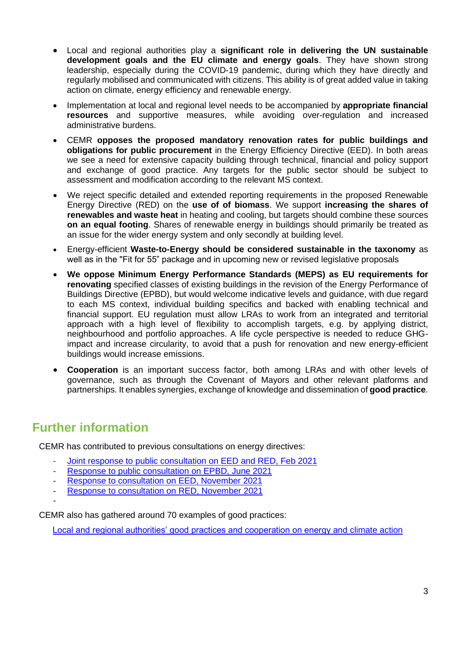- Local and regional authorities play a **significant role in delivering the UN sustainable development goals and the EU climate and energy goals**. They have shown strong leadership, especially during the COVID-19 pandemic, during which they have directly and regularly mobilised and communicated with citizens. This ability is of great added value in taking action on climate, energy efficiency and renewable energy.
- Implementation at local and regional level needs to be accompanied by **appropriate financial resources** and supportive measures, while avoiding over-regulation and increased administrative burdens.
- CEMR **opposes the proposed mandatory renovation rates for public buildings and obligations for public procurement** in the Energy Efficiency Directive (EED). In both areas we see a need for extensive capacity building through technical, financial and policy support and exchange of good practice. Any targets for the public sector should be subject to assessment and modification according to the relevant MS context.
- We reject specific detailed and extended reporting requirements in the proposed Renewable Energy Directive (RED) on the **use of of biomass**. We support **increasing the shares of renewables and waste heat** in heating and cooling, but targets should combine these sources **on an equal footing**. Shares of renewable energy in buildings should primarily be treated as an issue for the wider energy system and only secondly at building level.
- Energy-efficient **Waste-to-Energy should be considered sustainable in the taxonomy** as well as in the "Fit for 55" package and in upcoming new or revised legislative proposals
- **We oppose Minimum Energy Performance Standards (MEPS) as EU requirements for renovating** specified classes of existing buildings in the revision of the Energy Performance of Buildings Directive (EPBD), but would welcome indicative levels and guidance, with due regard to each MS context, individual building specifics and backed with enabling technical and financial support. EU regulation must allow LRAs to work from an integrated and territorial approach with a high level of flexibility to accomplish targets, e.g. by applying district, neighbourhood and portfolio approaches. A life cycle perspective is needed to reduce GHGimpact and increase circularity, to avoid that a push for renovation and new energy-efficient buildings would increase emissions.
- **Cooperation** is an important success factor, both among LRAs and with other levels of governance, such as through the Covenant of Mayors and other relevant platforms and partnerships. It enables synergies, exchange of knowledge and dissemination of **good practice**.

### **Further information**

CEMR has contributed to previous consultations on energy directives:

- [Joint response to public consultation on EED and RED, Feb 2021](https://drive.google.com/file/d/1YgpAiflPILPQ9MJcIZgrcLsARs6Z8IKu/view)
- [Response to public consultation on EPBD, June 2021](https://drive.google.com/file/d/1eyvH7bM9AefkJfzcLIB8PFUS5FIN9wu2/view)
- [Response to consultation on EED, November 2021](https://ec.europa.eu/info/law/better-regulation/have-your-say/initiatives/12552-EU-energy-efficiency-directive-EED-evaluation-and-review/F2752128_en)
- [Response to consultation on RED, November 2021](https://ec.europa.eu/info/law/better-regulation/have-your-say/initiatives/12553-EU-renewable-energy-rules-review/F2752121_en)
- -

CEMR also has gathered around 70 examples of good practices:

[Local and regional authorities' good practices and cooperation on energy and](https://docs.google.com/document/d/1Syh6_9yF50jU6FNaHElrqcELA8NyQ_2t/edit) climate action